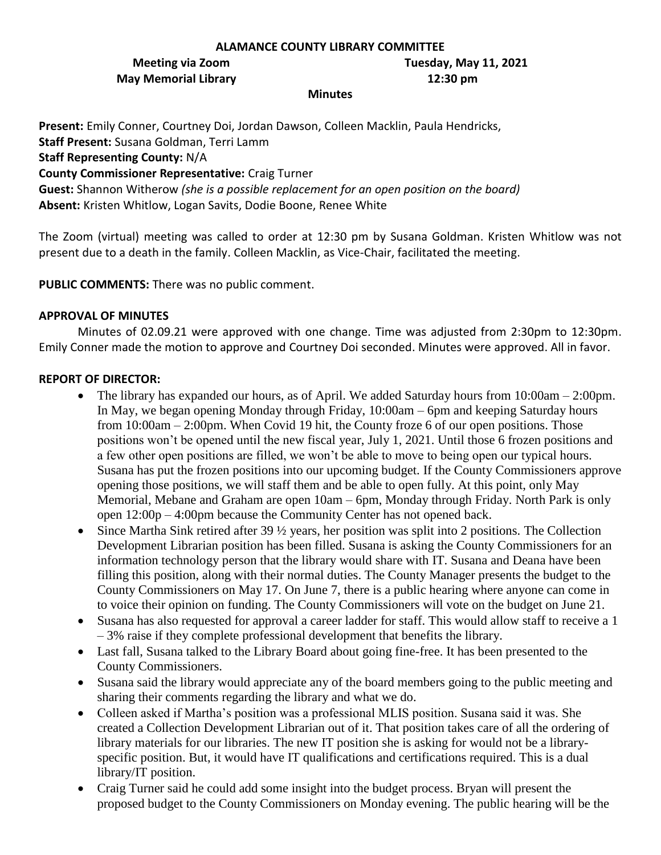#### **ALAMANCE COUNTY LIBRARY COMMITTEE**

# **May Memorial Library 12:30 pm**

**Meeting via Zoom Tuesday, May 11, 2021**

#### **Minutes**

**Present:** Emily Conner, Courtney Doi, Jordan Dawson, Colleen Macklin, Paula Hendricks, **Staff Present:** Susana Goldman, Terri Lamm **Staff Representing County:** N/A **County Commissioner Representative:** Craig Turner

**Guest:** Shannon Witherow *(she is a possible replacement for an open position on the board)* **Absent:** Kristen Whitlow, Logan Savits, Dodie Boone, Renee White

The Zoom (virtual) meeting was called to order at 12:30 pm by Susana Goldman. Kristen Whitlow was not present due to a death in the family. Colleen Macklin, as Vice-Chair, facilitated the meeting.

**PUBLIC COMMENTS:** There was no public comment.

## **APPROVAL OF MINUTES**

Minutes of 02.09.21 were approved with one change. Time was adjusted from 2:30pm to 12:30pm. Emily Conner made the motion to approve and Courtney Doi seconded. Minutes were approved. All in favor.

## **REPORT OF DIRECTOR:**

- The library has expanded our hours, as of April. We added Saturday hours from 10:00am 2:00pm. In May, we began opening Monday through Friday, 10:00am – 6pm and keeping Saturday hours from 10:00am – 2:00pm. When Covid 19 hit, the County froze 6 of our open positions. Those positions won't be opened until the new fiscal year, July 1, 2021. Until those 6 frozen positions and a few other open positions are filled, we won't be able to move to being open our typical hours. Susana has put the frozen positions into our upcoming budget. If the County Commissioners approve opening those positions, we will staff them and be able to open fully. At this point, only May Memorial, Mebane and Graham are open 10am – 6pm, Monday through Friday. North Park is only open 12:00p – 4:00pm because the Community Center has not opened back.
- Since Martha Sink retired after 39  $\frac{1}{2}$  years, her position was split into 2 positions. The Collection Development Librarian position has been filled. Susana is asking the County Commissioners for an information technology person that the library would share with IT. Susana and Deana have been filling this position, along with their normal duties. The County Manager presents the budget to the County Commissioners on May 17. On June 7, there is a public hearing where anyone can come in to voice their opinion on funding. The County Commissioners will vote on the budget on June 21.
- Susana has also requested for approval a career ladder for staff. This would allow staff to receive a 1 – 3% raise if they complete professional development that benefits the library.
- Last fall, Susana talked to the Library Board about going fine-free. It has been presented to the County Commissioners.
- Susana said the library would appreciate any of the board members going to the public meeting and sharing their comments regarding the library and what we do.
- Colleen asked if Martha's position was a professional MLIS position. Susana said it was. She created a Collection Development Librarian out of it. That position takes care of all the ordering of library materials for our libraries. The new IT position she is asking for would not be a libraryspecific position. But, it would have IT qualifications and certifications required. This is a dual library/IT position.
- Craig Turner said he could add some insight into the budget process. Bryan will present the proposed budget to the County Commissioners on Monday evening. The public hearing will be the